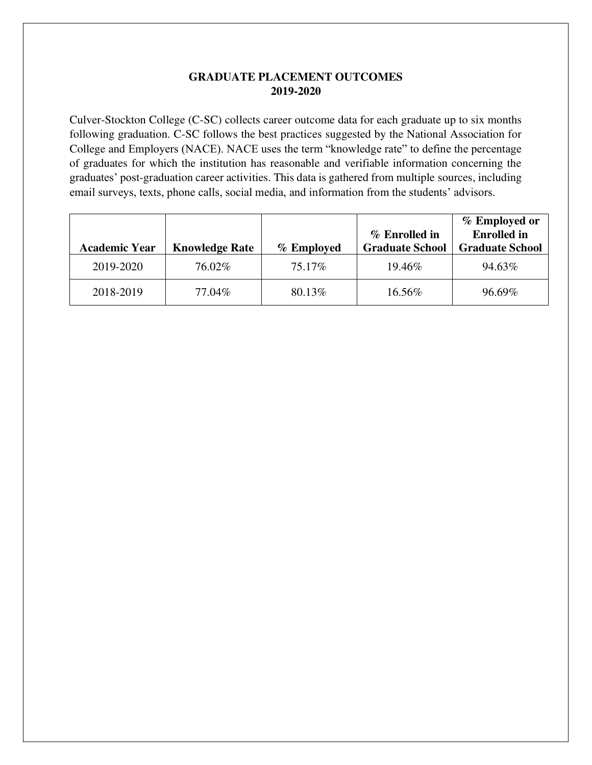## **GRADUATE PLACEMENT OUTCOMES 2019-2020**

Culver-Stockton College (C-SC) collects career outcome data for each graduate up to six months following graduation. C-SC follows the best practices suggested by the National Association for College and Employers (NACE). NACE uses the term "knowledge rate" to define the percentage of graduates for which the institution has reasonable and verifiable information concerning the graduates' post-graduation career activities. This data is gathered from multiple sources, including email surveys, texts, phone calls, social media, and information from the students' advisors.

| <b>Academic Year</b> | <b>Knowledge Rate</b> | % Employed | % Enrolled in<br><b>Graduate School</b> | % Employed or<br><b>Enrolled</b> in<br><b>Graduate School</b> |
|----------------------|-----------------------|------------|-----------------------------------------|---------------------------------------------------------------|
| 2019-2020            | 76.02%                | 75.17%     | 19.46\%                                 | 94.63%                                                        |
| 2018-2019            | 77.04%                | 80.13%     | 16.56%                                  | 96.69%                                                        |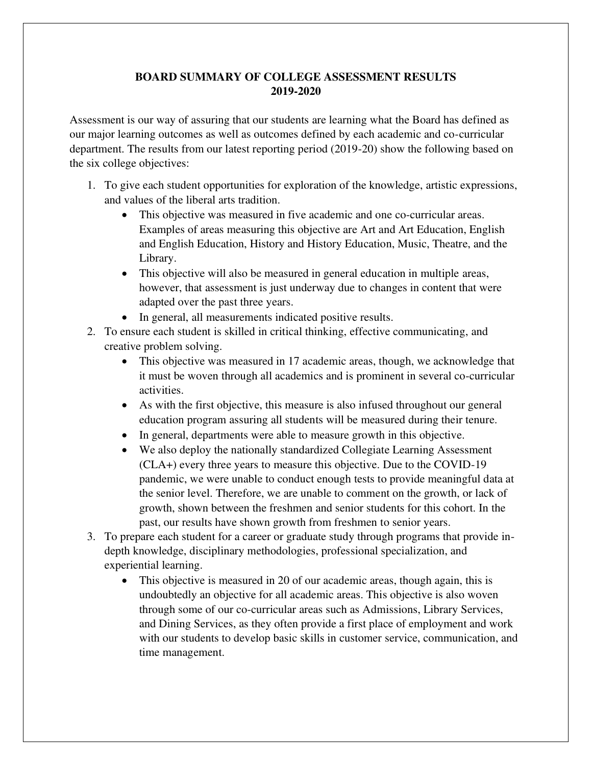## **BOARD SUMMARY OF COLLEGE ASSESSMENT RESULTS 2019-2020**

Assessment is our way of assuring that our students are learning what the Board has defined as our major learning outcomes as well as outcomes defined by each academic and co-curricular department. The results from our latest reporting period (2019-20) show the following based on the six college objectives:

- 1. To give each student opportunities for exploration of the knowledge, artistic expressions, and values of the liberal arts tradition.
	- This objective was measured in five academic and one co-curricular areas. Examples of areas measuring this objective are Art and Art Education, English and English Education, History and History Education, Music, Theatre, and the Library.
	- This objective will also be measured in general education in multiple areas, however, that assessment is just underway due to changes in content that were adapted over the past three years.
	- In general, all measurements indicated positive results.
- 2. To ensure each student is skilled in critical thinking, effective communicating, and creative problem solving.
	- This objective was measured in 17 academic areas, though, we acknowledge that it must be woven through all academics and is prominent in several co-curricular activities.
	- As with the first objective, this measure is also infused throughout our general education program assuring all students will be measured during their tenure.
	- In general, departments were able to measure growth in this objective.
	- We also deploy the nationally standardized Collegiate Learning Assessment (CLA+) every three years to measure this objective. Due to the COVID-19 pandemic, we were unable to conduct enough tests to provide meaningful data at the senior level. Therefore, we are unable to comment on the growth, or lack of growth, shown between the freshmen and senior students for this cohort. In the past, our results have shown growth from freshmen to senior years.
- 3. To prepare each student for a career or graduate study through programs that provide indepth knowledge, disciplinary methodologies, professional specialization, and experiential learning.
	- This objective is measured in 20 of our academic areas, though again, this is undoubtedly an objective for all academic areas. This objective is also woven through some of our co-curricular areas such as Admissions, Library Services, and Dining Services, as they often provide a first place of employment and work with our students to develop basic skills in customer service, communication, and time management.